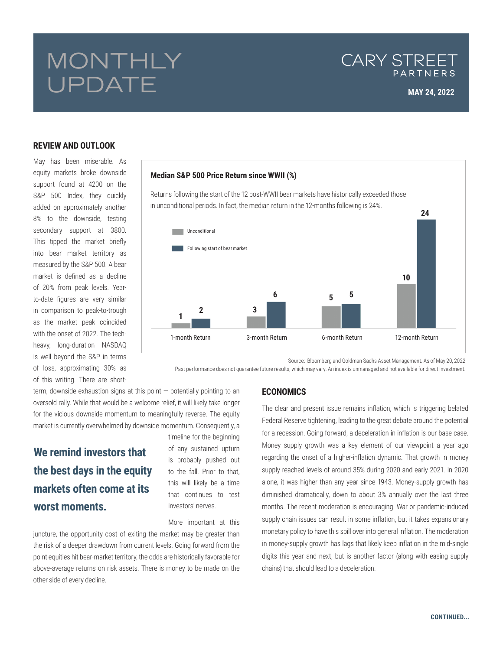# MONTHLY UPDATE

## CARY STREET PARTNERS

### **REVIEW AND OUTLOOK**

May has been miserable. As equity markets broke downside support found at 4200 on the S&P 500 Index, they quickly added on approximately another 8% to the downside, testing secondary support at 3800. This tipped the market briefly into bear market territory as measured by the S&P 500. A bear market is defined as a decline of 20% from peak levels. Yearto-date figures are very similar in comparison to peak-to-trough as the market peak coincided with the onset of 2022. The techheavy, long-duration NASDAQ is well beyond the S&P in terms of loss, approximating 30% as of this writing. There are short-

### **Median S&P 500 Price Return since WWII (%)**

Returns following the start of the 12 post-WWII bear markets have historically exceeded those in unconditional periods. In fact, the median return in the 12-months following is 24%.



Source: Bloomberg and Goldman Sachs Asset Management. As of May 20, 2022

Past performance does not guarantee future results, which may vary. An index is unmanaged and not available for direct investment.

term, downside exhaustion signs at this point — potentially pointing to an oversold rally. While that would be a welcome relief, it will likely take longer for the vicious downside momentum to meaningfully reverse. The equity market is currently overwhelmed by downside momentum. Consequently, a

# **We remind investors that the best days in the equity markets often come at its worst moments.**

timeline for the beginning of any sustained upturn is probably pushed out to the fall. Prior to that, this will likely be a time that continues to test investors' nerves.

More important at this

juncture, the opportunity cost of exiting the market may be greater than the risk of a deeper drawdown from current levels. Going forward from the point equities hit bear-market territory, the odds are historically favorable for above-average returns on risk assets. There is money to be made on the other side of every decline.

### **ECONOMICS**

The clear and present issue remains inflation, which is triggering belated Federal Reserve tightening, leading to the great debate around the potential for a recession. Going forward, a deceleration in inflation is our base case. Money supply growth was a key element of our viewpoint a year ago regarding the onset of a higher-inflation dynamic. That growth in money supply reached levels of around 35% during 2020 and early 2021. In 2020 alone, it was higher than any year since 1943. Money-supply growth has diminished dramatically, down to about 3% annually over the last three months. The recent moderation is encouraging. War or pandemic-induced supply chain issues can result in some inflation, but it takes expansionary monetary policy to have this spill over into general inflation. The moderation in money-supply growth has lags that likely keep inflation in the mid-single digits this year and next, but is another factor (along with easing supply chains) that should lead to a deceleration.